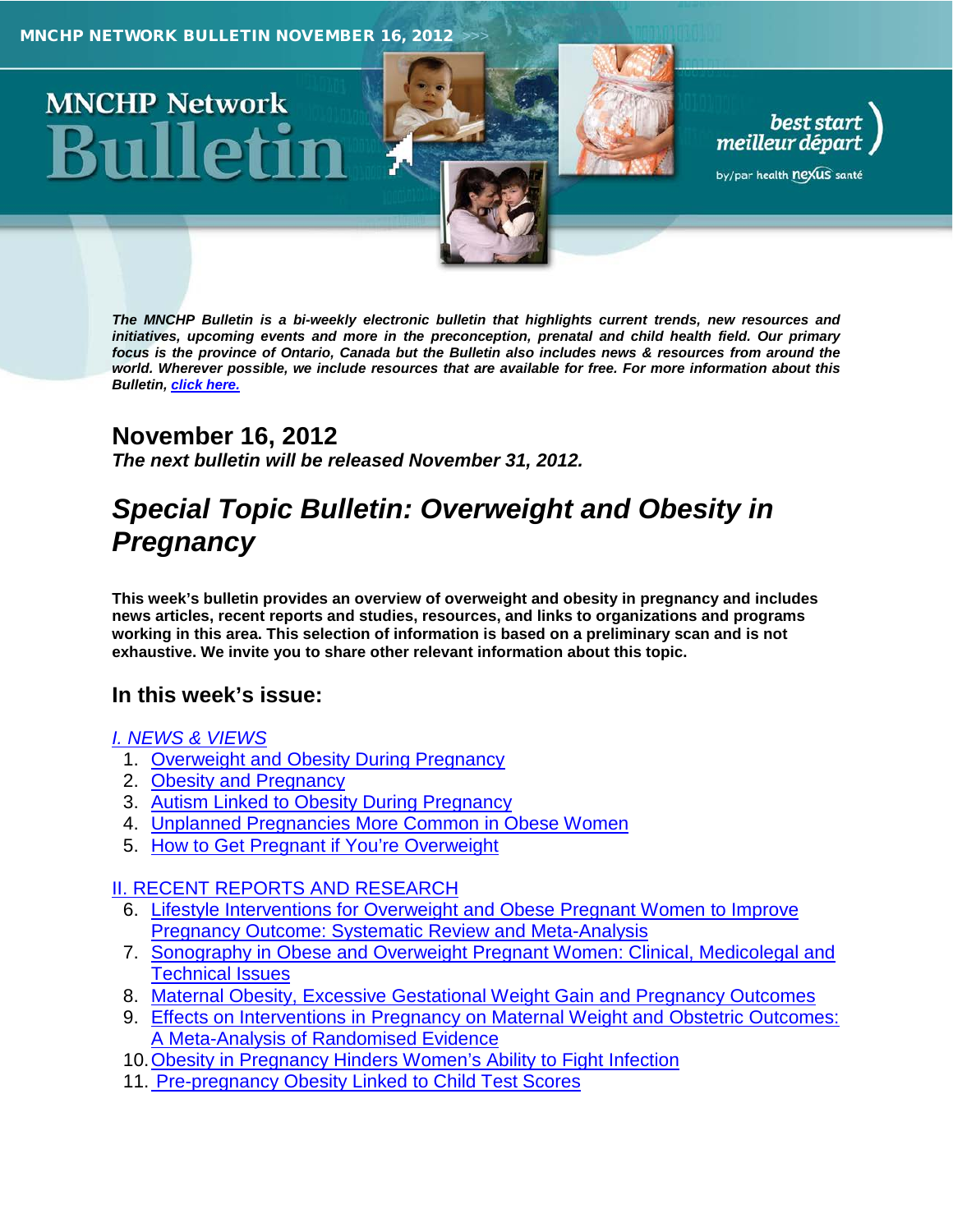

*The MNCHP Bulletin is a bi-weekly electronic bulletin that highlights current trends, new resources and initiatives, upcoming events and more in the preconception, prenatal and child health field. Our primary focus is the province of Ontario, Canada but the Bulletin also includes news & resources from around the world. Wherever possible, we include resources that are available for free. For more information about this Bulletin, click here.*

## **November 16, 2012**

*The next bulletin will be released November 31, 2012.*

# *Special Topic Bulletin: Overweight and Obesity in Pregnancy*

**This week's bulletin provides an overview of overweight and obesity in pregnancy and includes news articles, recent reports and studies, resources, and links to organizations and programs working in this area. This selection of information is based on a preliminary scan and is not exhaustive. We invite you to share other relevant information about this topic.**

### **In this week's issue:**

#### *[I. NEWS & VIEWS](#page-1-0)*

- 1. [Overweight and Obesity During Pregnancy](#page-1-1)
- 2. [Obesity and Pregnancy](#page-1-2)
- 3. [Autism Linked to Obesity During Pregnancy](#page-2-0)
- 4. [Unplanned Pregnancies More Common in Obese Women](#page-2-1)
- 5. [How to Get Pregnant if You're Overweight](#page-2-2)

### [II. RECENT REPORTS AND RESEARCH](#page-3-0)

- 6. [Lifestyle Interventions for Overweight and Obese Pregnant Women to Improve](#page-3-1)  [Pregnancy Outcome: Systematic Review and Meta-Analysis](#page-3-1)
- 7. [Sonography in Obese and Overweight Pregnant Women: Clinical, Medicolegal and](#page-3-2)  [Technical Issues](#page-3-2)
- 8. [Maternal Obesity, Excessive Gestational Weight Gain and Pregnancy Outcomes](#page-3-3)
- 9. [Effects on Interventions in Pregnancy on Maternal Weight and Obstetric Outcomes:](#page-4-0)  [A Meta-Analysis of Randomised Evidence](#page-4-0)
- 10. Obesity in Pregnancy Hinders Women's Ability to Fight Infection
- 11. [Pre-pregnancy Obesity Linked to Child Test Scores](#page-4-2)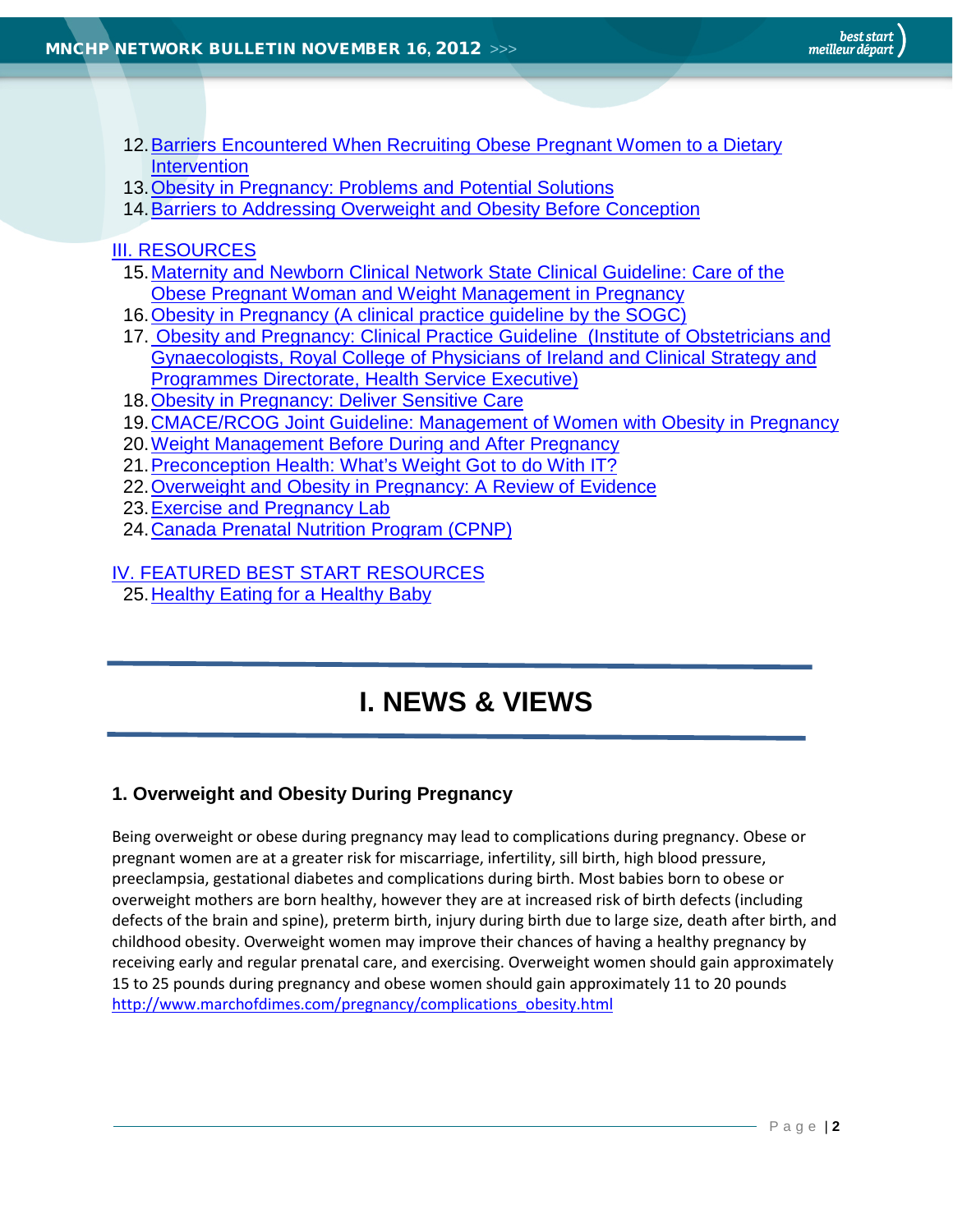- <span id="page-1-0"></span>[12.Barriers Encountered When Recruiting Obese Pregnant Women to a Dietary](#page-5-0)  **[Intervention](#page-5-0)**
- 13. Obesity in Pregnancy: Problems and Potential Solutions
- 14[.Barriers to Addressing Overweight and Obesity Before Conception](#page-5-2)

#### III. RESOURCES

- [15.Maternity and Newborn Clinical Network State Clinical Guideline: Care of the](#page-5-3)  [Obese Pregnant Woman and Weight Management in Pregnancy](#page-5-3)
- 16[.Obesity in Pregnancy \(A clinical practice guideline by the SOGC\)](#page-6-0)
- 17. [Obesity and Pregnancy: Clinical Practice Guideline \(Institute of Obstetricians and](#page-6-1)  [Gynaecologists, Royal College of Physicians of Ireland and Clinical Strategy and](#page-6-1)  [Programmes Directorate, Health Service Executive\)](#page-6-1)
- 18[.Obesity in Pregnancy: Deliver Sensitive Care](#page-6-2)
- 19[.CMACE/RCOG Joint Guideline: Management of Women with Obesity in Pregnancy](#page-7-0)
- 20. Weight Management Before During and After Pregnancy
- 21[.Preconception Health: What's Weight Got to do With IT?](#page-7-2)
- 22. Overweight and Obesity in Pregnancy: A Review of Evidence
- 23[.Exercise and Pregnancy Lab](#page-8-0)
- 24[.Canada Prenatal Nutrition Program \(CPNP\)](#page-8-1)

## IV. FEATURED BEST START RESOURCES

25[.Healthy Eating for a Healthy Baby](#page-8-2)

# **I. NEWS & VIEWS**

### <span id="page-1-1"></span>**1. Overweight and Obesity During Pregnancy**

<span id="page-1-2"></span>Being overweight or obese during pregnancy may lead to complications during pregnancy. Obese or pregnant women are at a greater risk for miscarriage, infertility, sill birth, high blood pressure, preeclampsia, gestational diabetes and complications during birth. Most babies born to obese or overweight mothers are born healthy, however they are at increased risk of birth defects (including defects of the brain and spine), preterm birth, injury during birth due to large size, death after birth, and childhood obesity. Overweight women may improve their chances of having a healthy pregnancy by receiving early and regular prenatal care, and exercising. Overweight women should gain approximately 15 to 25 pounds during pregnancy and obese women should gain approximately 11 to 20 pounds [http://www.marchofdimes.com/pregnancy/complications\\_obesity.html](http://www.marchofdimes.com/pregnancy/complications_obesity.html)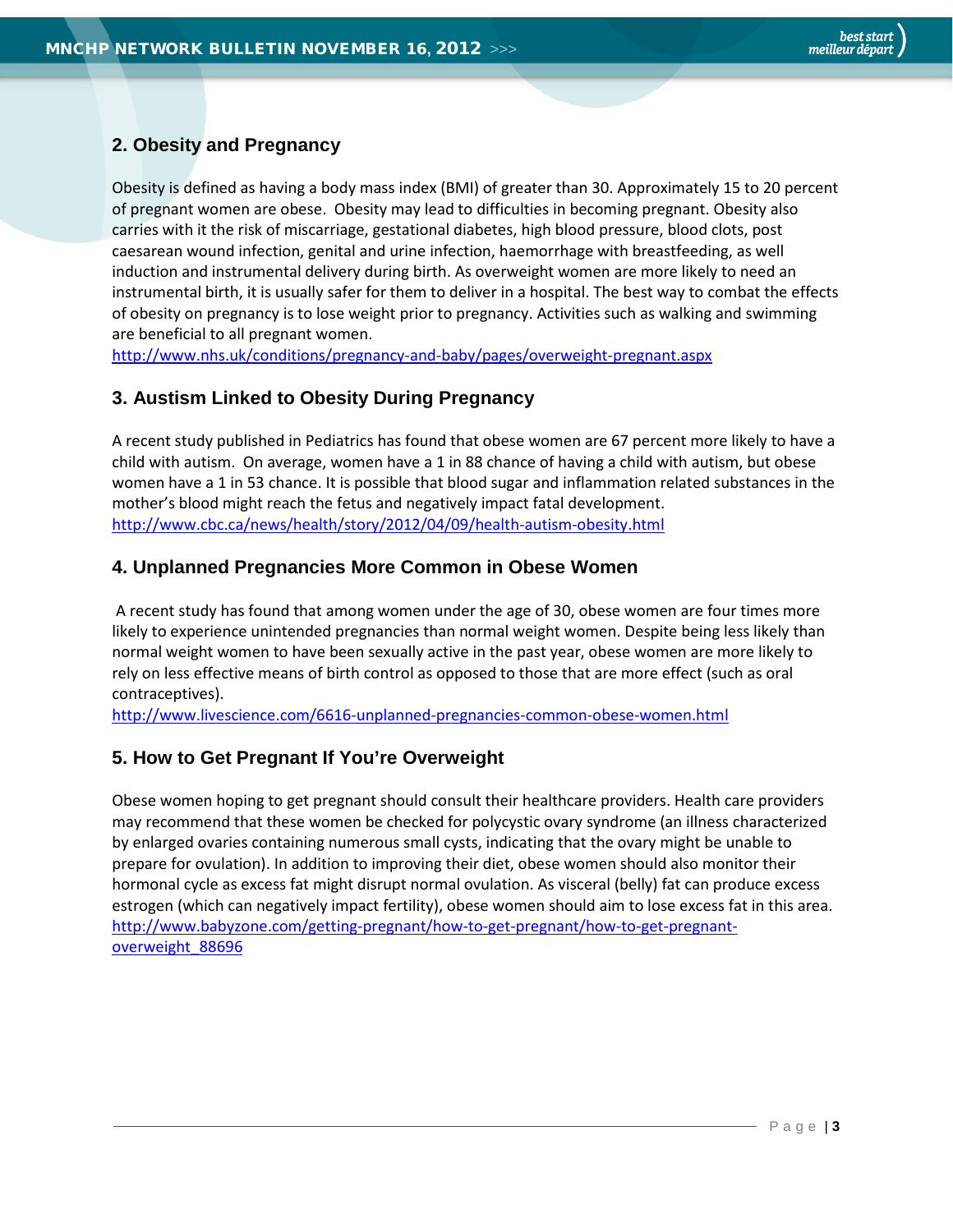### **2. Obesity and Pregnancy**

Obesity is defined as having a body mass index (BMI) of greater than 30. Approximately 15 to 20 percent of pregnant women are obese. Obesity may lead to difficulties in becoming pregnant. Obesity also carries with it the risk of miscarriage, gestational diabetes, high blood pressure, blood clots, post caesarean wound infection, genital and urine infection, haemorrhage with breastfeeding, as well induction and instrumental delivery during birth. As overweight women are more likely to need an instrumental birth, it is usually safer for them to deliver in a hospital. The best way to combat the effects of obesity on pregnancy is to lose weight prior to pregnancy. Activities such as walking and swimming are beneficial to all pregnant women.

<span id="page-2-0"></span><http://www.nhs.uk/conditions/pregnancy-and-baby/pages/overweight-pregnant.aspx>

#### **3. Austism Linked to Obesity During Pregnancy**

A recent study published in Pediatrics has found that obese women are 67 percent more likely to have a child with autism. On average, women have a 1 in 88 chance of having a child with autism, but obese women have a 1 in 53 chance. It is possible that blood sugar and inflammation related substances in the mother's blood might reach the fetus and negatively impact fatal development. <http://www.cbc.ca/news/health/story/2012/04/09/health-autism-obesity.html>

#### <span id="page-2-1"></span>**4. Unplanned Pregnancies More Common in Obese Women**

A recent study has found that among women under the age of 30, obese women are four times more likely to experience unintended pregnancies than normal weight women. Despite being less likely than normal weight women to have been sexually active in the past year, obese women are more likely to rely on less effective means of birth control as opposed to those that are more effect (such as oral contraceptives).

<span id="page-2-2"></span><http://www.livescience.com/6616-unplanned-pregnancies-common-obese-women.html>

#### **5. How to Get Pregnant If You're Overweight**

Obese women hoping to get pregnant should consult their healthcare providers. Health care providers may recommend that these women be checked for polycystic ovary syndrome (an illness characterized by enlarged ovaries containing numerous small cysts, indicating that the ovary might be unable to prepare for ovulation). In addition to improving their diet, obese women should also monitor their hormonal cycle as excess fat might disrupt normal ovulation. As visceral (belly) fat can produce excess estrogen (which can negatively impact fertility), obese women should aim to lose excess fat in this area. [http://www.babyzone.com/getting-pregnant/how-to-get-pregnant/how-to-get-pregnant](http://www.babyzone.com/getting-pregnant/how-to-get-pregnant/how-to-get-pregnant-overweight_88696)[overweight\\_88696](http://www.babyzone.com/getting-pregnant/how-to-get-pregnant/how-to-get-pregnant-overweight_88696)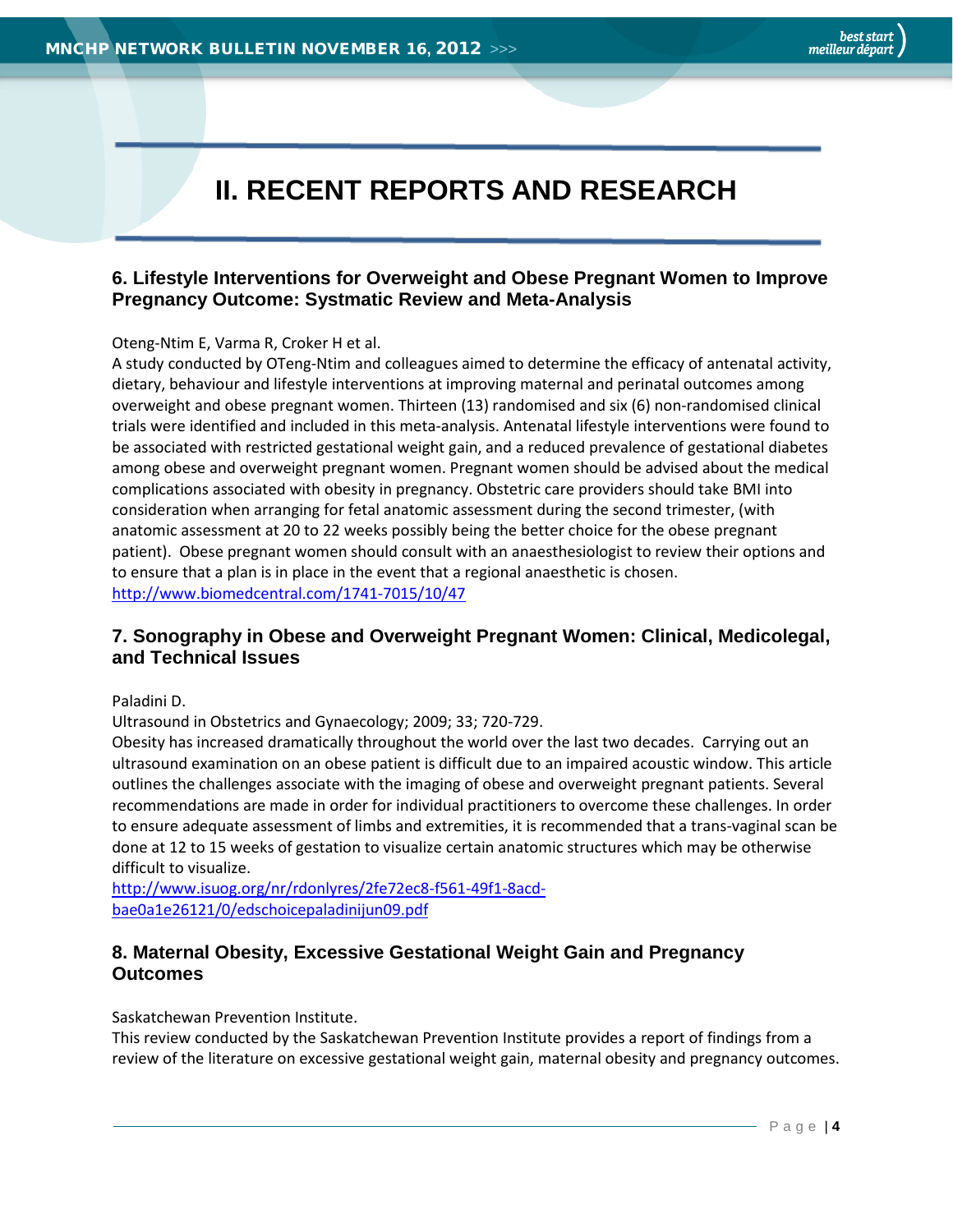# **II. RECENT REPORTS AND RESEARCH**

#### <span id="page-3-1"></span><span id="page-3-0"></span>**6. Lifestyle Interventions for Overweight and Obese Pregnant Women to Improve Pregnancy Outcome: Systmatic Review and Meta-Analysis**

#### Oteng-Ntim E, Varma R, Croker H et al.

A study conducted by OTeng-Ntim and colleagues aimed to determine the efficacy of antenatal activity, dietary, behaviour and lifestyle interventions at improving maternal and perinatal outcomes among overweight and obese pregnant women. Thirteen (13) randomised and six (6) non-randomised clinical trials were identified and included in this meta-analysis. Antenatal lifestyle interventions were found to be associated with restricted gestational weight gain, and a reduced prevalence of gestational diabetes among obese and overweight pregnant women. Pregnant women should be advised about the medical complications associated with obesity in pregnancy. Obstetric care providers should take BMI into consideration when arranging for fetal anatomic assessment during the second trimester, (with anatomic assessment at 20 to 22 weeks possibly being the better choice for the obese pregnant patient). Obese pregnant women should consult with an anaesthesiologist to review their options and to ensure that a plan is in place in the event that a regional anaesthetic is chosen. <http://www.biomedcentral.com/1741-7015/10/47>

#### <span id="page-3-2"></span>**7. Sonography in Obese and Overweight Pregnant Women: Clinical, Medicolegal, and Technical Issues**

Paladini D.

Ultrasound in Obstetrics and Gynaecology; 2009; 33; 720-729.

Obesity has increased dramatically throughout the world over the last two decades. Carrying out an ultrasound examination on an obese patient is difficult due to an impaired acoustic window. This article outlines the challenges associate with the imaging of obese and overweight pregnant patients. Several recommendations are made in order for individual practitioners to overcome these challenges. In order to ensure adequate assessment of limbs and extremities, it is recommended that a trans-vaginal scan be done at 12 to 15 weeks of gestation to visualize certain anatomic structures which may be otherwise difficult to visualize.

[http://www.isuog.org/nr/rdonlyres/2fe72ec8-f561-49f1-8acd](http://www.isuog.org/nr/rdonlyres/2fe72ec8-f561-49f1-8acd-bae0a1e26121/0/edschoicepaladinijun09.pdf)[bae0a1e26121/0/edschoicepaladinijun09.pdf](http://www.isuog.org/nr/rdonlyres/2fe72ec8-f561-49f1-8acd-bae0a1e26121/0/edschoicepaladinijun09.pdf)

#### <span id="page-3-3"></span>**8. Maternal Obesity, Excessive Gestational Weight Gain and Pregnancy Outcomes**

Saskatchewan Prevention Institute.

This review conducted by the Saskatchewan Prevention Institute provides a report of findings from a review of the literature on excessive gestational weight gain, maternal obesity and pregnancy outcomes.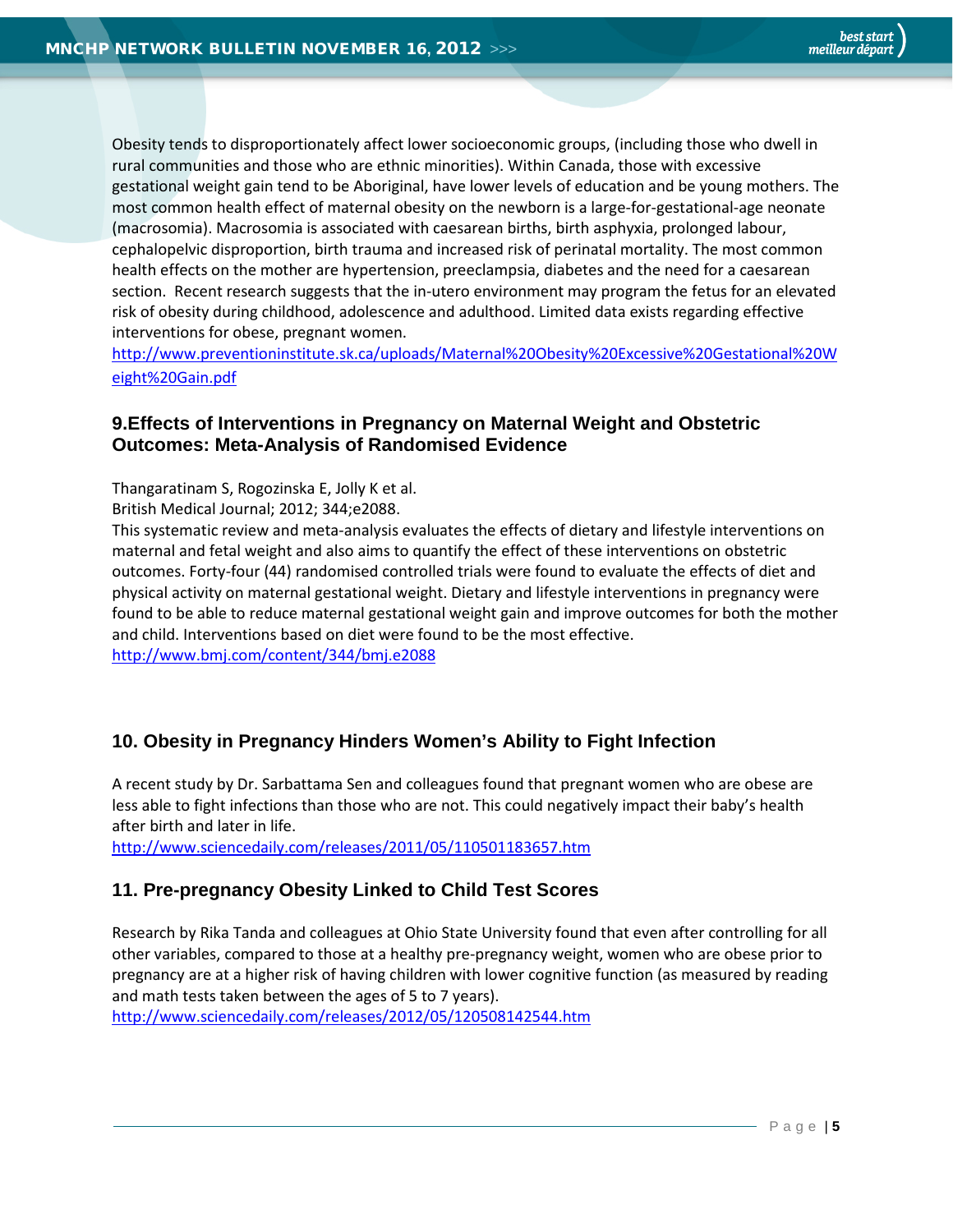Obesity tends to disproportionately affect lower socioeconomic groups, (including those who dwell in rural communities and those who are ethnic minorities). Within Canada, those with excessive gestational weight gain tend to be Aboriginal, have lower levels of education and be young mothers. The most common health effect of maternal obesity on the newborn is a large-for-gestational-age neonate (macrosomia). Macrosomia is associated with caesarean births, birth asphyxia, prolonged labour, cephalopelvic disproportion, birth trauma and increased risk of perinatal mortality. The most common health effects on the mother are hypertension, preeclampsia, diabetes and the need for a caesarean section. Recent research suggests that the in-utero environment may program the fetus for an elevated risk of obesity during childhood, adolescence and adulthood. Limited data exists regarding effective interventions for obese, pregnant women.

[http://www.preventioninstitute.sk.ca/uploads/Maternal%20Obesity%20Excessive%20Gestational%20W](http://www.preventioninstitute.sk.ca/uploads/Maternal%20Obesity%20Excessive%20Gestational%20Weight%20Gain.pdf) [eight%20Gain.pdf](http://www.preventioninstitute.sk.ca/uploads/Maternal%20Obesity%20Excessive%20Gestational%20Weight%20Gain.pdf)

#### <span id="page-4-0"></span>**9.Effects of Interventions in Pregnancy on Maternal Weight and Obstetric Outcomes: Meta-Analysis of Randomised Evidence**

Thangaratinam S, Rogozinska E, Jolly K et al.

British Medical Journal; 2012; 344;e2088.

This systematic review and meta-analysis evaluates the effects of dietary and lifestyle interventions on maternal and fetal weight and also aims to quantify the effect of these interventions on obstetric outcomes. Forty-four (44) randomised controlled trials were found to evaluate the effects of diet and physical activity on maternal gestational weight. Dietary and lifestyle interventions in pregnancy were found to be able to reduce maternal gestational weight gain and improve outcomes for both the mother and child. Interventions based on diet were found to be the most effective.

<span id="page-4-1"></span><http://www.bmj.com/content/344/bmj.e2088>

#### **10. Obesity in Pregnancy Hinders Women's Ability to Fight Infection**

A recent study by Dr. Sarbattama Sen and colleagues found that pregnant women who are obese are less able to fight infections than those who are not. This could negatively impact their baby's health after birth and later in life.

<span id="page-4-2"></span><http://www.sciencedaily.com/releases/2011/05/110501183657.htm>

#### **11. Pre-pregnancy Obesity Linked to Child Test Scores**

Research by Rika Tanda and colleagues at Ohio State University found that even after controlling for all other variables, compared to those at a healthy pre-pregnancy weight, women who are obese prior to pregnancy are at a higher risk of having children with lower cognitive function (as measured by reading and math tests taken between the ages of 5 to 7 years).

<http://www.sciencedaily.com/releases/2012/05/120508142544.htm>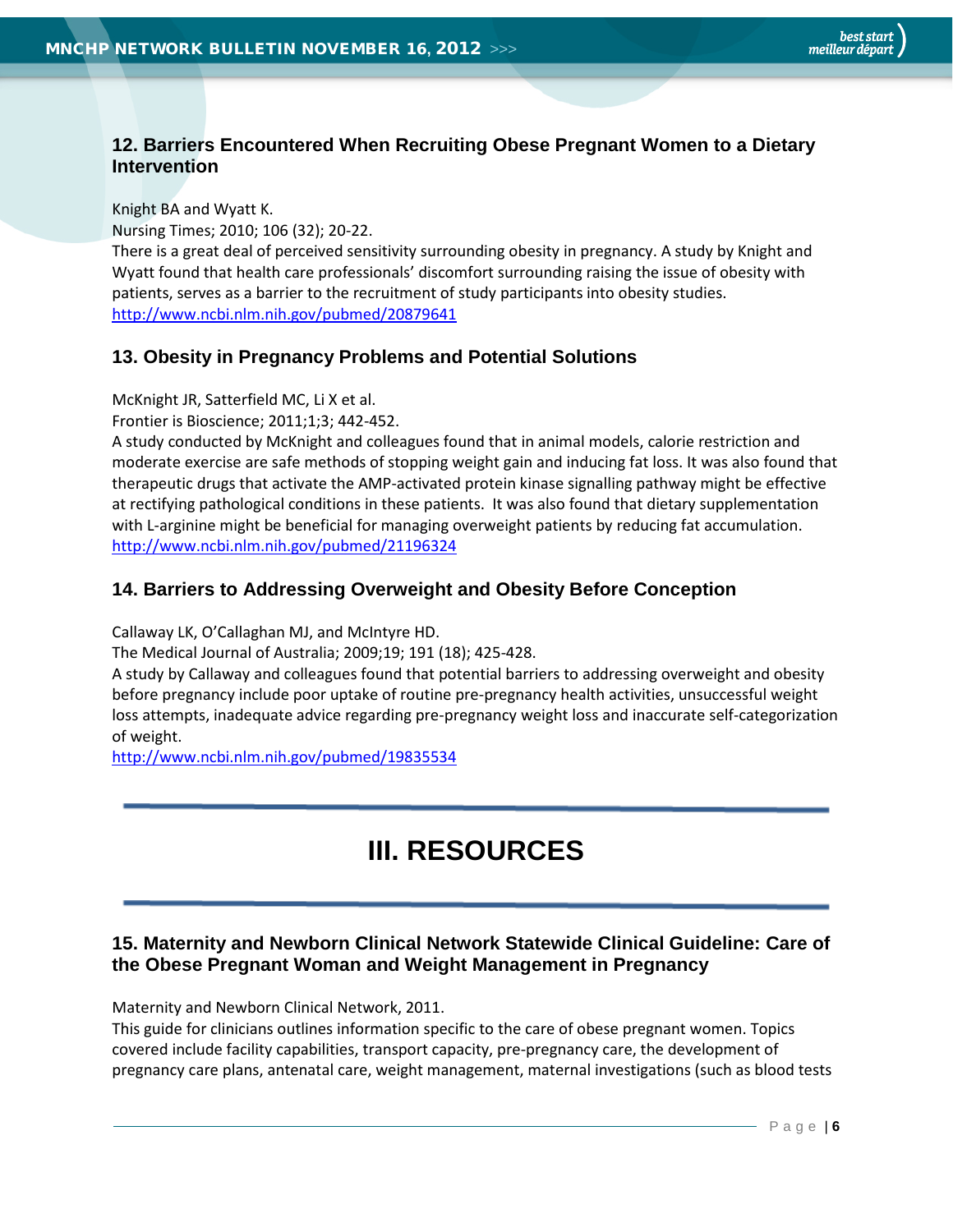#### <span id="page-5-0"></span>**12. Barriers Encountered When Recruiting Obese Pregnant Women to a Dietary Intervention**

Knight BA and Wyatt K.

Nursing Times; 2010; 106 (32); 20-22.

There is a great deal of perceived sensitivity surrounding obesity in pregnancy. A study by Knight and Wyatt found that health care professionals' discomfort surrounding raising the issue of obesity with patients, serves as a barrier to the recruitment of study participants into obesity studies. <http://www.ncbi.nlm.nih.gov/pubmed/20879641>

#### <span id="page-5-1"></span>**13. Obesity in Pregnancy Problems and Potential Solutions**

McKnight JR, Satterfield MC, Li X et al.

Frontier is Bioscience; 2011;1;3; 442-452.

A study conducted by McKnight and colleagues found that in animal models, calorie restriction and moderate exercise are safe methods of stopping weight gain and inducing fat loss. It was also found that therapeutic drugs that activate the AMP-activated protein kinase signalling pathway might be effective at rectifying pathological conditions in these patients. It was also found that dietary supplementation with L-arginine might be beneficial for managing overweight patients by reducing fat accumulation. <http://www.ncbi.nlm.nih.gov/pubmed/21196324>

#### <span id="page-5-2"></span>**14. Barriers to Addressing Overweight and Obesity Before Conception**

Callaway LK, O'Callaghan MJ, and McIntyre HD.

The Medical Journal of Australia; 2009;19; 191 (18); 425-428.

A study by Callaway and colleagues found that potential barriers to addressing overweight and obesity before pregnancy include poor uptake of routine pre-pregnancy health activities, unsuccessful weight loss attempts, inadequate advice regarding pre-pregnancy weight loss and inaccurate self-categorization of weight.

<http://www.ncbi.nlm.nih.gov/pubmed/19835534>

# **III. RESOURCES**

#### <span id="page-5-3"></span>**15. Maternity and Newborn Clinical Network Statewide Clinical Guideline: Care of the Obese Pregnant Woman and Weight Management in Pregnancy**

Maternity and Newborn Clinical Network, 2011.

This guide for clinicians outlines information specific to the care of obese pregnant women. Topics covered include facility capabilities, transport capacity, pre-pregnancy care, the development of pregnancy care plans, antenatal care, weight management, maternal investigations (such as blood tests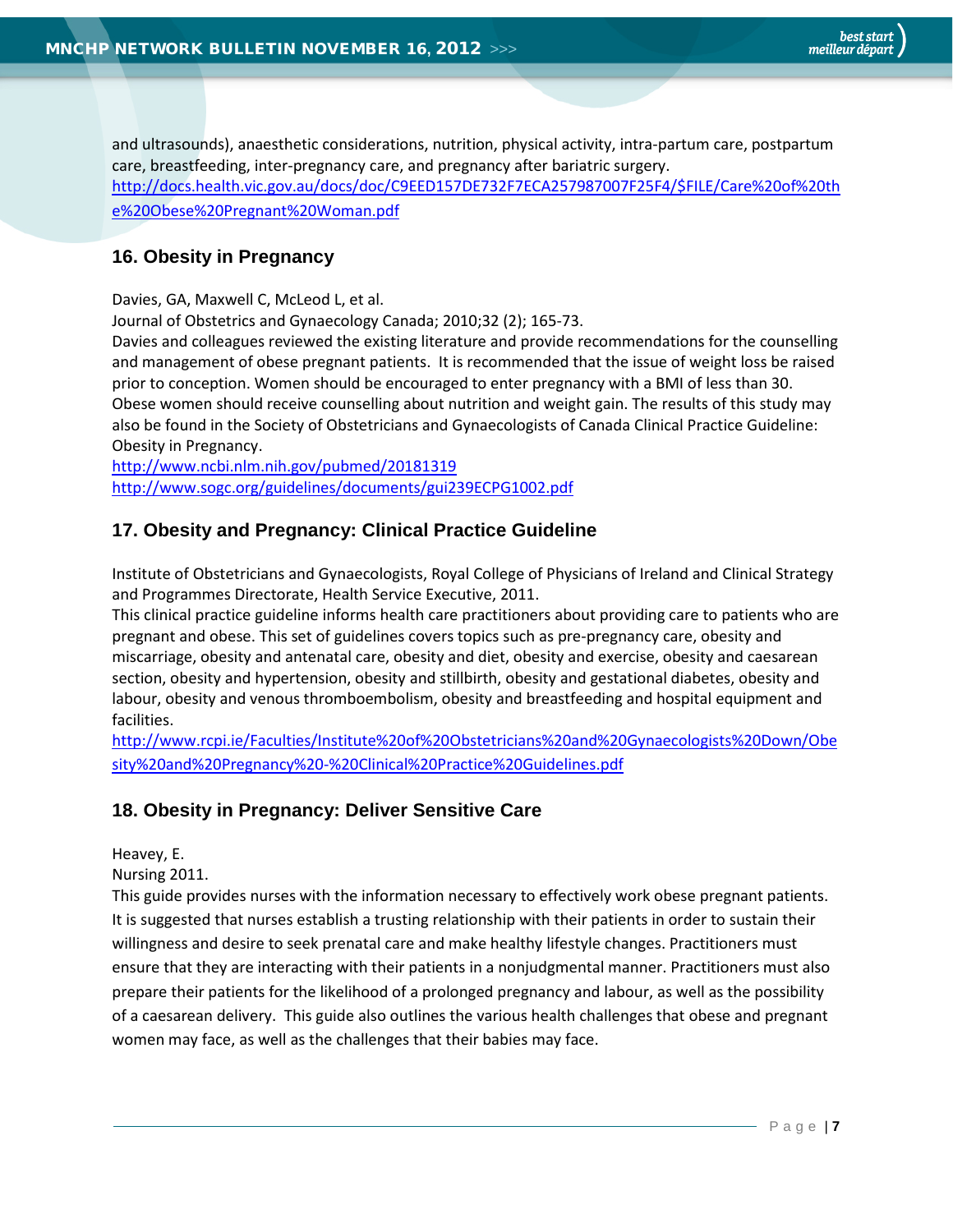and ultrasounds), anaesthetic considerations, nutrition, physical activity, intra-partum care, postpartum care, breastfeeding, inter-pregnancy care, and pregnancy after bariatric surgery. [http://docs.health.vic.gov.au/docs/doc/C9EED157DE732F7ECA257987007F25F4/\\$FILE/Care%20of%20th](http://docs.health.vic.gov.au/docs/doc/C9EED157DE732F7ECA257987007F25F4/$FILE/Care%20of%20the%20Obese%20Pregnant%20Woman.pdf) [e%20Obese%20Pregnant%20Woman.pdf](http://docs.health.vic.gov.au/docs/doc/C9EED157DE732F7ECA257987007F25F4/$FILE/Care%20of%20the%20Obese%20Pregnant%20Woman.pdf)

### <span id="page-6-0"></span>**16. Obesity in Pregnancy**

Davies, GA, Maxwell C, McLeod L, et al.

Journal of Obstetrics and Gynaecology Canada; 2010;32 (2); 165-73.

Davies and colleagues reviewed the existing literature and provide recommendations for the counselling and management of obese pregnant patients. It is recommended that the issue of weight loss be raised prior to conception. Women should be encouraged to enter pregnancy with a BMI of less than 30. Obese women should receive counselling about nutrition and weight gain. The results of this study may also be found in the Society of Obstetricians and Gynaecologists of Canada Clinical Practice Guideline: Obesity in Pregnancy.

<http://www.ncbi.nlm.nih.gov/pubmed/20181319> <http://www.sogc.org/guidelines/documents/gui239ECPG1002.pdf>

### <span id="page-6-1"></span>**17. Obesity and Pregnancy: Clinical Practice Guideline**

Institute of Obstetricians and Gynaecologists, Royal College of Physicians of Ireland and Clinical Strategy and Programmes Directorate, Health Service Executive, 2011.

This clinical practice guideline informs health care practitioners about providing care to patients who are pregnant and obese. This set of guidelines covers topics such as pre-pregnancy care, obesity and miscarriage, obesity and antenatal care, obesity and diet, obesity and exercise, obesity and caesarean section, obesity and hypertension, obesity and stillbirth, obesity and gestational diabetes, obesity and labour, obesity and venous thromboembolism, obesity and breastfeeding and hospital equipment and facilities.

[http://www.rcpi.ie/Faculties/Institute%20of%20Obstetricians%20and%20Gynaecologists%20Down/Obe](http://www.rcpi.ie/Faculties/Institute%20of%20Obstetricians%20and%20Gynaecologists%20Down/Obesity%20and%20Pregnancy%20-%20Clinical%20Practice%20Guidelines.pdf) [sity%20and%20Pregnancy%20-%20Clinical%20Practice%20Guidelines.pdf](http://www.rcpi.ie/Faculties/Institute%20of%20Obstetricians%20and%20Gynaecologists%20Down/Obesity%20and%20Pregnancy%20-%20Clinical%20Practice%20Guidelines.pdf)

#### <span id="page-6-2"></span>**18. Obesity in Pregnancy: Deliver Sensitive Care**

Heavey, E.

Nursing 2011.

This guide provides nurses with the information necessary to effectively work obese pregnant patients. It is suggested that nurses establish a trusting relationship with their patients in order to sustain their willingness and desire to seek prenatal care and make healthy lifestyle changes. Practitioners must ensure that they are interacting with their patients in a nonjudgmental manner. Practitioners must also prepare their patients for the likelihood of a prolonged pregnancy and labour, as well as the possibility of a caesarean delivery. This guide also outlines the various health challenges that obese and pregnant women may face, as well as the challenges that their babies may face.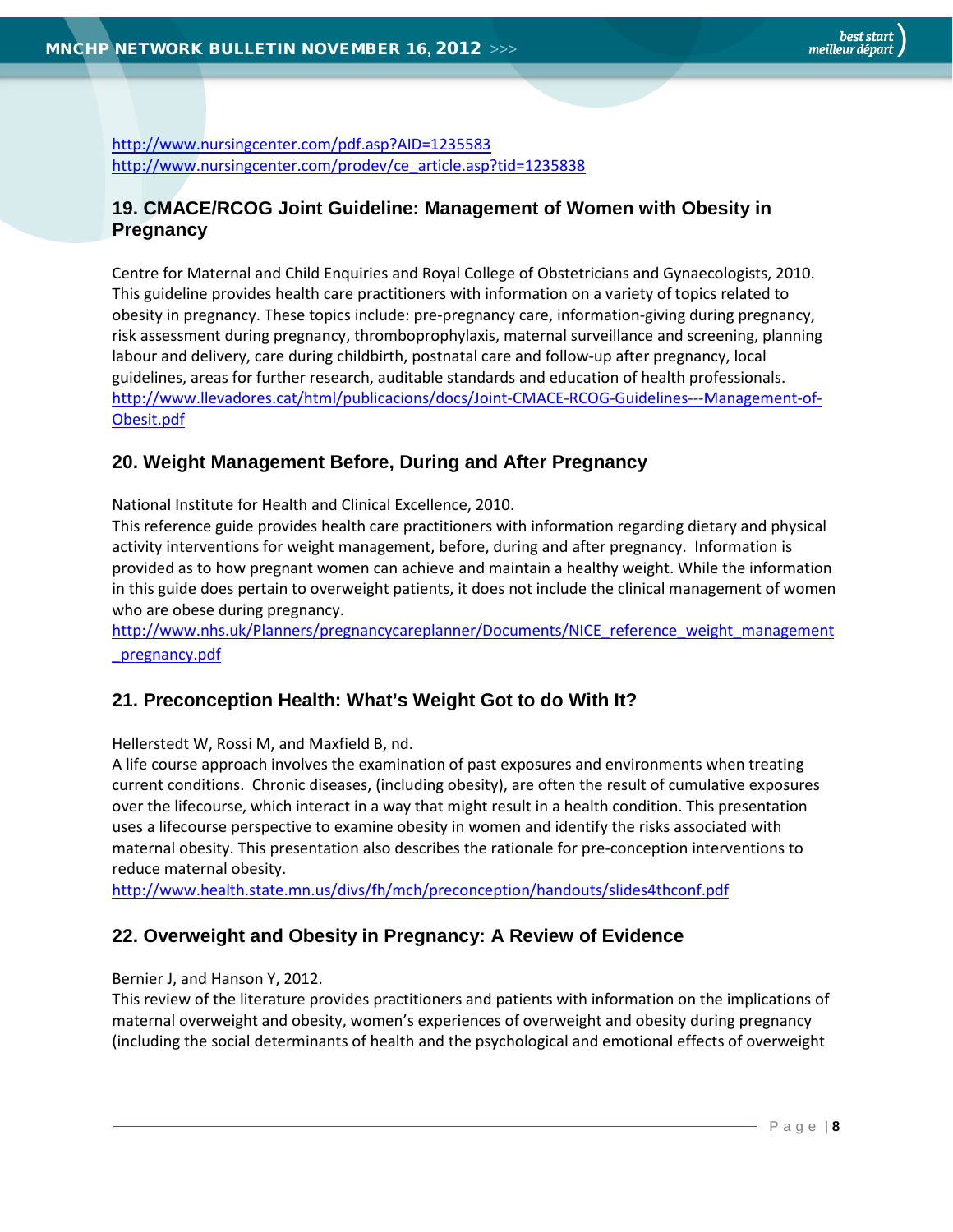<http://www.nursingcenter.com/pdf.asp?AID=1235583> [http://www.nursingcenter.com/prodev/ce\\_article.asp?tid=1235838](http://www.nursingcenter.com/prodev/ce_article.asp?tid=1235838)

#### <span id="page-7-0"></span>**19. CMACE/RCOG Joint Guideline: Management of Women with Obesity in Pregnancy**

Centre for Maternal and Child Enquiries and Royal College of Obstetricians and Gynaecologists, 2010. This guideline provides health care practitioners with information on a variety of topics related to obesity in pregnancy. These topics include: pre-pregnancy care, information-giving during pregnancy, risk assessment during pregnancy, thromboprophylaxis, maternal surveillance and screening, planning labour and delivery, care during childbirth, postnatal care and follow-up after pregnancy, local guidelines, areas for further research, auditable standards and education of health professionals. [http://www.llevadores.cat/html/publicacions/docs/Joint-CMACE-RCOG-Guidelines---Management-of-](http://www.llevadores.cat/html/publicacions/docs/Joint-CMACE-RCOG-Guidelines---Management-of-Obesit.pdf)[Obesit.pdf](http://www.llevadores.cat/html/publicacions/docs/Joint-CMACE-RCOG-Guidelines---Management-of-Obesit.pdf)

#### <span id="page-7-1"></span>**20. Weight Management Before, During and After Pregnancy**

National Institute for Health and Clinical Excellence, 2010.

This reference guide provides health care practitioners with information regarding dietary and physical activity interventions for weight management, before, during and after pregnancy. Information is provided as to how pregnant women can achieve and maintain a healthy weight. While the information in this guide does pertain to overweight patients, it does not include the clinical management of women who are obese during pregnancy.

[http://www.nhs.uk/Planners/pregnancycareplanner/Documents/NICE\\_reference\\_weight\\_management](http://www.nhs.uk/Planners/pregnancycareplanner/Documents/NICE_reference_weight_management_pregnancy.pdf) [\\_pregnancy.pdf](http://www.nhs.uk/Planners/pregnancycareplanner/Documents/NICE_reference_weight_management_pregnancy.pdf)

#### <span id="page-7-2"></span>**21. Preconception Health: What's Weight Got to do With It?**

Hellerstedt W, Rossi M, and Maxfield B, nd.

A life course approach involves the examination of past exposures and environments when treating current conditions. Chronic diseases, (including obesity), are often the result of cumulative exposures over the lifecourse, which interact in a way that might result in a health condition. This presentation uses a lifecourse perspective to examine obesity in women and identify the risks associated with maternal obesity. This presentation also describes the rationale for pre-conception interventions to reduce maternal obesity.

<http://www.health.state.mn.us/divs/fh/mch/preconception/handouts/slides4thconf.pdf>

#### <span id="page-7-3"></span>**22. Overweight and Obesity in Pregnancy: A Review of Evidence**

#### Bernier J, and Hanson Y, 2012.

This review of the literature provides practitioners and patients with information on the implications of maternal overweight and obesity, women's experiences of overweight and obesity during pregnancy (including the social determinants of health and the psychological and emotional effects of overweight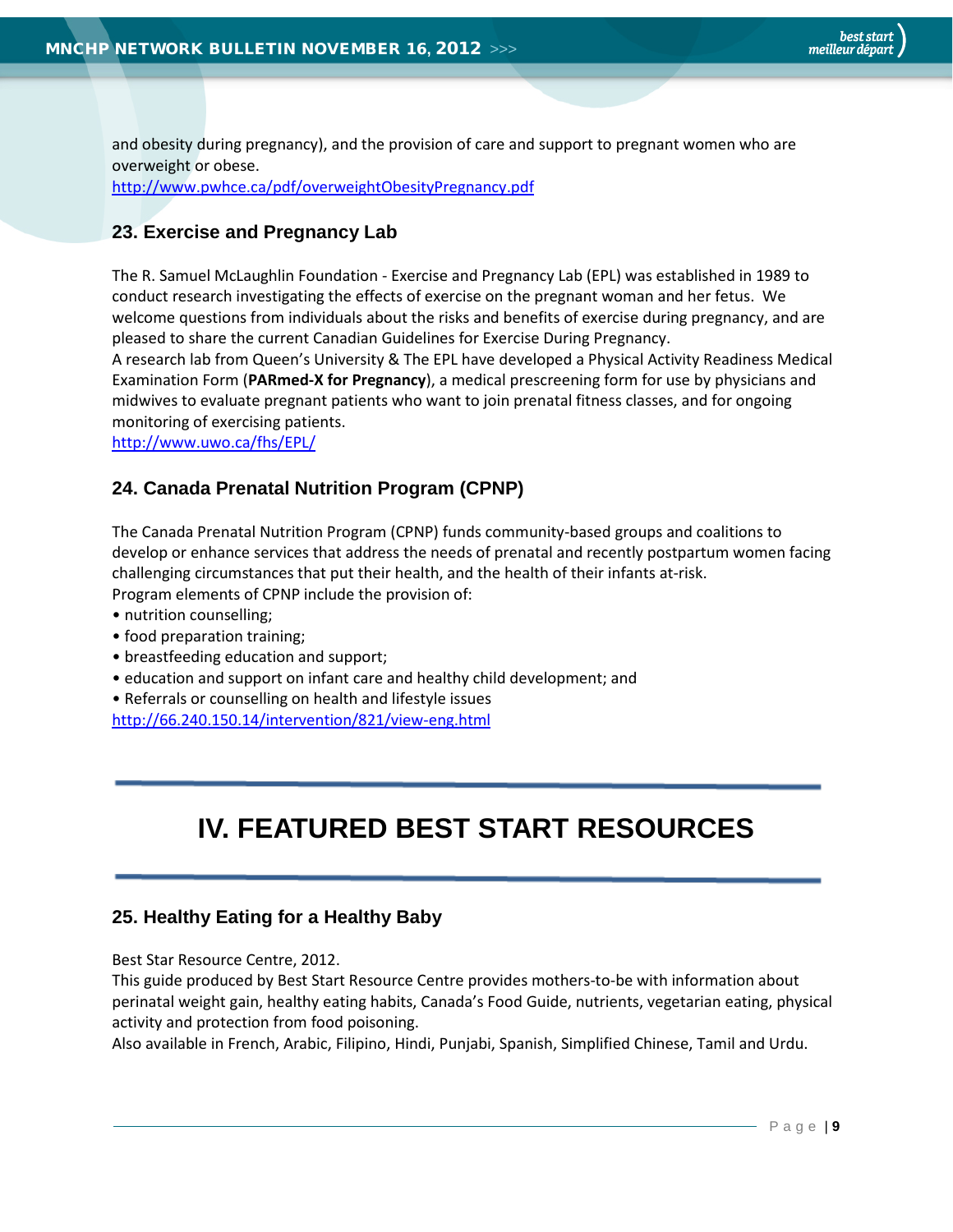and obesity during pregnancy), and the provision of care and support to pregnant women who are overweight or obese.

<http://www.pwhce.ca/pdf/overweightObesityPregnancy.pdf>

#### <span id="page-8-0"></span>**23. Exercise and Pregnancy Lab**

The R. Samuel McLaughlin Foundation - Exercise and Pregnancy Lab (EPL) was established in 1989 to conduct research investigating the effects of exercise on the pregnant woman and her fetus. We welcome questions from individuals about the risks and benefits of exercise during pregnancy, and are pleased to share the current Canadian Guidelines for Exercise During Pregnancy.

A research lab from Queen's University & The EPL have developed a Physical Activity Readiness Medical Examination Form (**PARmed-X for Pregnancy**), a medical prescreening form for use by physicians and midwives to evaluate pregnant patients who want to join prenatal fitness classes, and for ongoing monitoring of exercising patients.

<http://www.uwo.ca/fhs/EPL/>

#### <span id="page-8-1"></span>**24. Canada Prenatal Nutrition Program (CPNP)**

The Canada Prenatal Nutrition Program (CPNP) funds community-based groups and coalitions to develop or enhance services that address the needs of prenatal and recently postpartum women facing challenging circumstances that put their health, and the health of their infants at-risk. Program elements of CPNP include the provision of:

- nutrition counselling;
- food preparation training;
- breastfeeding education and support;
- education and support on infant care and healthy child development; and
- Referrals or counselling on health and lifestyle issues

<http://66.240.150.14/intervention/821/view-eng.html>

# **IV. FEATURED BEST START RESOURCES**

#### <span id="page-8-2"></span>**25. Healthy Eating for a Healthy Baby**

Best Star Resource Centre, 2012.

This guide produced by Best Start Resource Centre provides mothers-to-be with information about perinatal weight gain, healthy eating habits, Canada's Food Guide, nutrients, vegetarian eating, physical activity and protection from food poisoning.

Also available in French, Arabic, Filipino, Hindi, Punjabi, Spanish, Simplified Chinese, Tamil and Urdu.